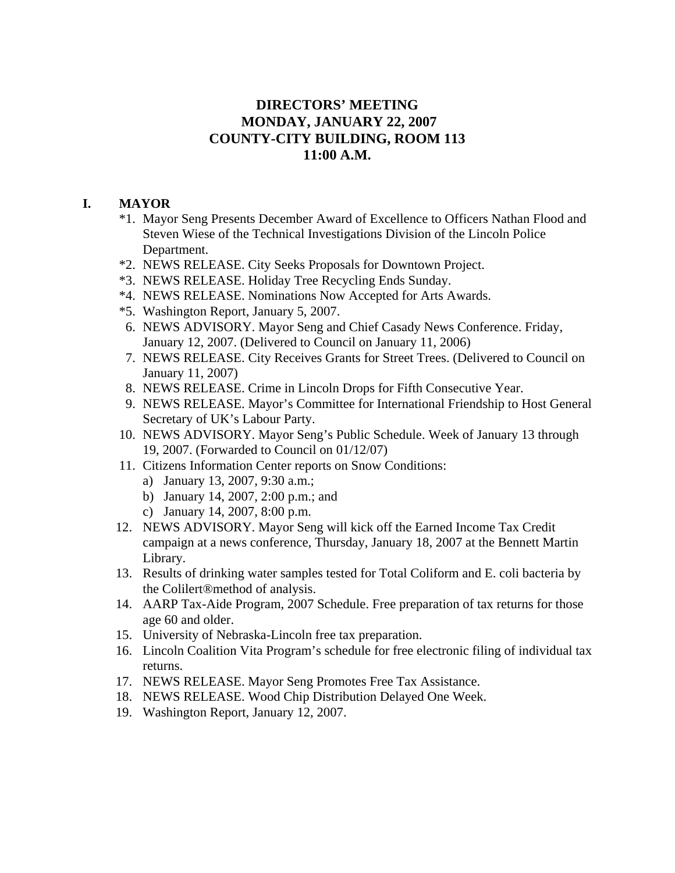# **DIRECTORS' MEETING MONDAY, JANUARY 22, 2007 COUNTY-CITY BUILDING, ROOM 113 11:00 A.M.**

# **I. MAYOR**

- \*1. Mayor Seng Presents December Award of Excellence to Officers Nathan Flood and Steven Wiese of the Technical Investigations Division of the Lincoln Police Department.
- \*2. NEWS RELEASE. City Seeks Proposals for Downtown Project.
- \*3. NEWS RELEASE. Holiday Tree Recycling Ends Sunday.
- \*4. NEWS RELEASE. Nominations Now Accepted for Arts Awards.
- \*5. Washington Report, January 5, 2007.
- 6. NEWS ADVISORY. Mayor Seng and Chief Casady News Conference. Friday, January 12, 2007. (Delivered to Council on January 11, 2006)
- 7. NEWS RELEASE. City Receives Grants for Street Trees. (Delivered to Council on January 11, 2007)
- 8. NEWS RELEASE. Crime in Lincoln Drops for Fifth Consecutive Year.
- 9. NEWS RELEASE. Mayor's Committee for International Friendship to Host General Secretary of UK's Labour Party.
- 10. NEWS ADVISORY. Mayor Seng's Public Schedule. Week of January 13 through 19, 2007. (Forwarded to Council on 01/12/07)
- 11. Citizens Information Center reports on Snow Conditions:
	- a) January 13, 2007, 9:30 a.m.;
	- b) January 14, 2007, 2:00 p.m.; and
	- c) January 14, 2007, 8:00 p.m.
- 12. NEWS ADVISORY. Mayor Seng will kick off the Earned Income Tax Credit campaign at a news conference, Thursday, January 18, 2007 at the Bennett Martin Library.
- 13. Results of drinking water samples tested for Total Coliform and E. coli bacteria by the Colilert®method of analysis.
- 14. AARP Tax-Aide Program, 2007 Schedule. Free preparation of tax returns for those age 60 and older.
- 15. University of Nebraska-Lincoln free tax preparation.
- 16. Lincoln Coalition Vita Program's schedule for free electronic filing of individual tax returns.
- 17. NEWS RELEASE. Mayor Seng Promotes Free Tax Assistance.
- 18. NEWS RELEASE. Wood Chip Distribution Delayed One Week.
- 19. Washington Report, January 12, 2007.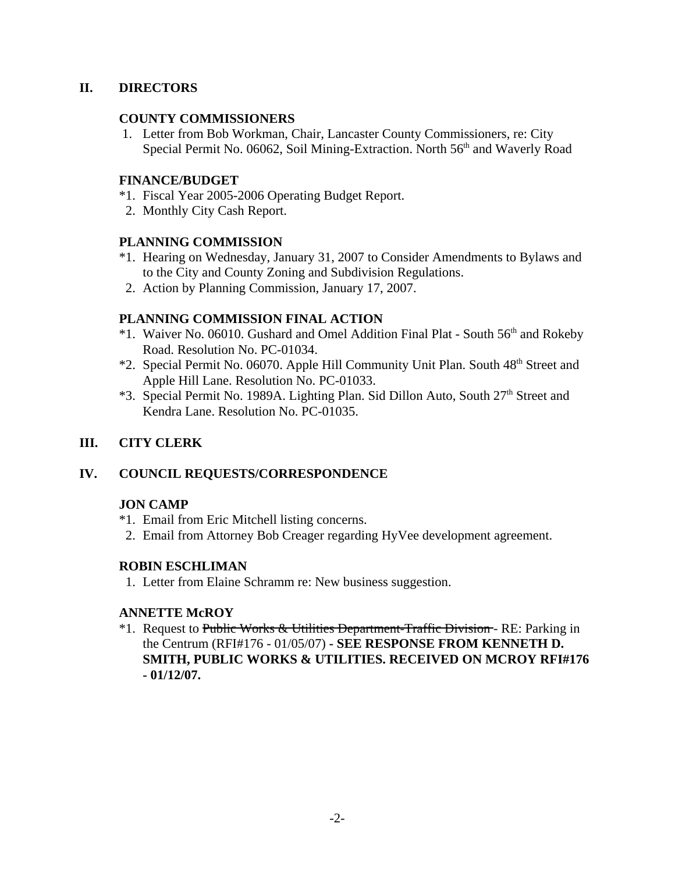# **II. DIRECTORS**

# **COUNTY COMMISSIONERS**

 1. Letter from Bob Workman, Chair, Lancaster County Commissioners, re: City Special Permit No. 06062, Soil Mining-Extraction. North 56<sup>th</sup> and Waverly Road

# **FINANCE/BUDGET**

- \*1. Fiscal Year 2005-2006 Operating Budget Report.
- 2. Monthly City Cash Report.

## **PLANNING COMMISSION**

- \*1. Hearing on Wednesday, January 31, 2007 to Consider Amendments to Bylaws and to the City and County Zoning and Subdivision Regulations.
- 2. Action by Planning Commission, January 17, 2007.

# **PLANNING COMMISSION FINAL ACTION**

- \*1. Waiver No. 06010. Gushard and Omel Addition Final Plat South 56th and Rokeby Road. Resolution No. PC-01034.
- \*2. Special Permit No. 06070. Apple Hill Community Unit Plan. South 48<sup>th</sup> Street and Apple Hill Lane. Resolution No. PC-01033.
- \*3. Special Permit No. 1989A. Lighting Plan. Sid Dillon Auto, South 27<sup>th</sup> Street and Kendra Lane. Resolution No. PC-01035.

# **III. CITY CLERK**

# **IV. COUNCIL REQUESTS/CORRESPONDENCE**

# **JON CAMP**

- \*1. Email from Eric Mitchell listing concerns.
- 2. Email from Attorney Bob Creager regarding HyVee development agreement.

### **ROBIN ESCHLIMAN**

1. Letter from Elaine Schramm re: New business suggestion.

# **ANNETTE McROY**

\*1. Request to Public Works & Utilities Department-Traffic Division - RE: Parking in the Centrum (RFI#176 - 01/05/07) **- SEE RESPONSE FROM KENNETH D. SMITH, PUBLIC WORKS & UTILITIES. RECEIVED ON MCROY RFI#176 - 01/12/07.**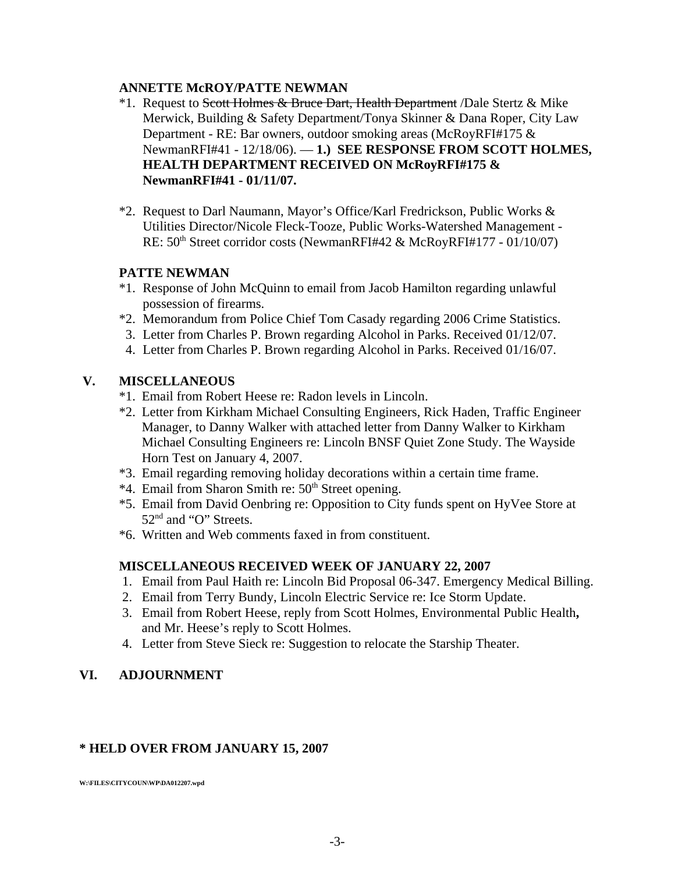## **ANNETTE McROY/PATTE NEWMAN**

- <sup>\*</sup>1. Request to Scott Holmes & Bruce Dart, Health Department /Dale Stertz & Mike Merwick, Building & Safety Department/Tonya Skinner & Dana Roper, City Law Department - RE: Bar owners, outdoor smoking areas (McRoyRFI#175 & NewmanRFI#41 - 12/18/06). — **1.) SEE RESPONSE FROM SCOTT HOLMES, HEALTH DEPARTMENT RECEIVED ON McRoyRFI#175 & NewmanRFI#41 - 01/11/07.**
- \*2. Request to Darl Naumann, Mayor's Office/Karl Fredrickson, Public Works & Utilities Director/Nicole Fleck-Tooze, Public Works-Watershed Management - RE: 50<sup>th</sup> Street corridor costs (NewmanRFI#42 & McRoyRFI#177 - 01/10/07)

### **PATTE NEWMAN**

- \*1. Response of John McQuinn to email from Jacob Hamilton regarding unlawful possession of firearms.
- \*2. Memorandum from Police Chief Tom Casady regarding 2006 Crime Statistics.
- 3. Letter from Charles P. Brown regarding Alcohol in Parks. Received 01/12/07.
- 4. Letter from Charles P. Brown regarding Alcohol in Parks. Received 01/16/07.

# **V. MISCELLANEOUS**

- \*1. Email from Robert Heese re: Radon levels in Lincoln.
- \*2. Letter from Kirkham Michael Consulting Engineers, Rick Haden, Traffic Engineer Manager, to Danny Walker with attached letter from Danny Walker to Kirkham Michael Consulting Engineers re: Lincoln BNSF Quiet Zone Study. The Wayside Horn Test on January 4, 2007.
- \*3. Email regarding removing holiday decorations within a certain time frame.
- \*4. Email from Sharon Smith re:  $50<sup>th</sup>$  Street opening.
- \*5. Email from David Oenbring re: Opposition to City funds spent on HyVee Store at 52<sup>nd</sup> and "O" Streets.
- \*6. Written and Web comments faxed in from constituent.

# **MISCELLANEOUS RECEIVED WEEK OF JANUARY 22, 2007**

- 1. Email from Paul Haith re: Lincoln Bid Proposal 06-347. Emergency Medical Billing.
- 2. Email from Terry Bundy, Lincoln Electric Service re: Ice Storm Update.
- 3. Email from Robert Heese, reply from Scott Holmes, Environmental Public Health**,** and Mr. Heese's reply to Scott Holmes.
- 4. Letter from Steve Sieck re: Suggestion to relocate the Starship Theater.

# **VI. ADJOURNMENT**

# **\* HELD OVER FROM JANUARY 15, 2007**

**W:\FILES\CITYCOUN\WP\DA012207.wpd**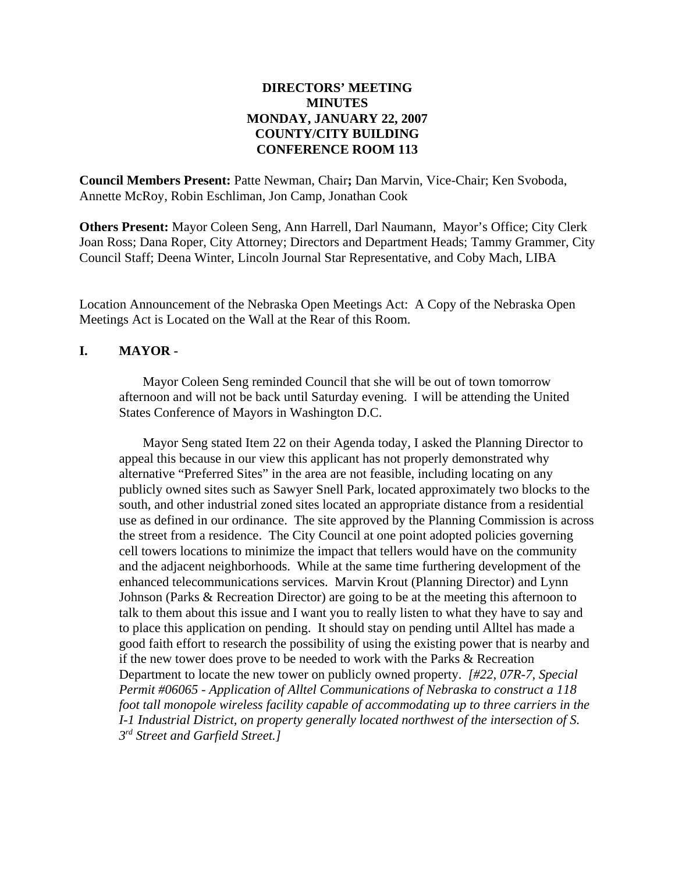## **DIRECTORS' MEETING MINUTES MONDAY, JANUARY 22, 2007 COUNTY/CITY BUILDING CONFERENCE ROOM 113**

**Council Members Present:** Patte Newman, Chair**;** Dan Marvin, Vice-Chair; Ken Svoboda, Annette McRoy, Robin Eschliman, Jon Camp, Jonathan Cook

**Others Present:** Mayor Coleen Seng, Ann Harrell, Darl Naumann, Mayor's Office; City Clerk Joan Ross; Dana Roper, City Attorney; Directors and Department Heads; Tammy Grammer, City Council Staff; Deena Winter, Lincoln Journal Star Representative, and Coby Mach, LIBA

Location Announcement of the Nebraska Open Meetings Act: A Copy of the Nebraska Open Meetings Act is Located on the Wall at the Rear of this Room.

#### **I. MAYOR -**

Mayor Coleen Seng reminded Council that she will be out of town tomorrow afternoon and will not be back until Saturday evening. I will be attending the United States Conference of Mayors in Washington D.C.

Mayor Seng stated Item 22 on their Agenda today, I asked the Planning Director to appeal this because in our view this applicant has not properly demonstrated why alternative "Preferred Sites" in the area are not feasible, including locating on any publicly owned sites such as Sawyer Snell Park, located approximately two blocks to the south, and other industrial zoned sites located an appropriate distance from a residential use as defined in our ordinance. The site approved by the Planning Commission is across the street from a residence. The City Council at one point adopted policies governing cell towers locations to minimize the impact that tellers would have on the community and the adjacent neighborhoods. While at the same time furthering development of the enhanced telecommunications services. Marvin Krout (Planning Director) and Lynn Johnson (Parks & Recreation Director) are going to be at the meeting this afternoon to talk to them about this issue and I want you to really listen to what they have to say and to place this application on pending. It should stay on pending until Alltel has made a good faith effort to research the possibility of using the existing power that is nearby and if the new tower does prove to be needed to work with the Parks & Recreation Department to locate the new tower on publicly owned property. *[#22, 07R-7, Special Permit #06065 - Application of Alltel Communications of Nebraska to construct a 118 foot tall monopole wireless facility capable of accommodating up to three carriers in the I-1 Industrial District, on property generally located northwest of the intersection of S. 3rd Street and Garfield Street.]*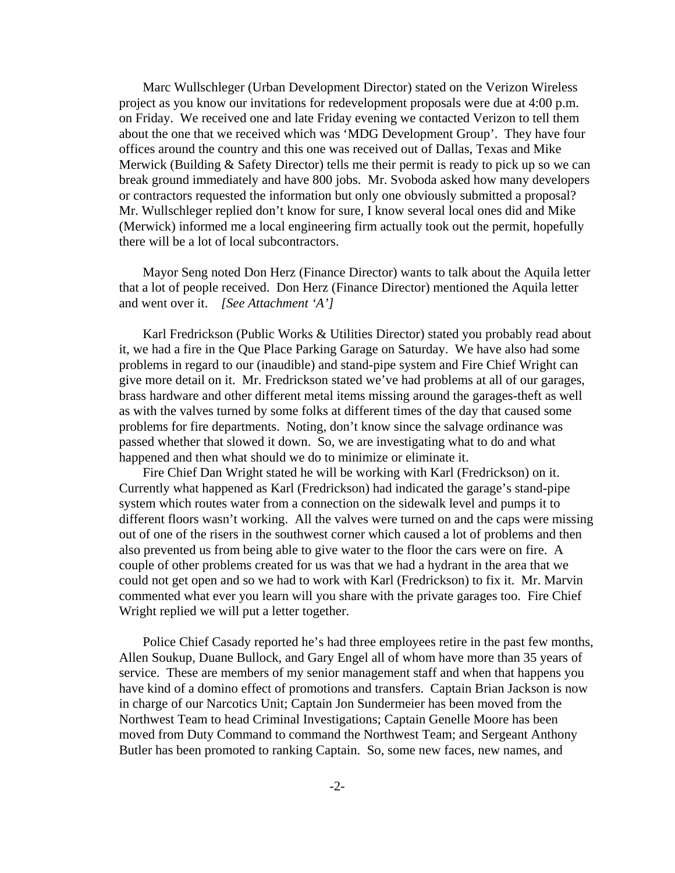Marc Wullschleger (Urban Development Director) stated on the Verizon Wireless project as you know our invitations for redevelopment proposals were due at 4:00 p.m. on Friday. We received one and late Friday evening we contacted Verizon to tell them about the one that we received which was 'MDG Development Group'. They have four offices around the country and this one was received out of Dallas, Texas and Mike Merwick (Building & Safety Director) tells me their permit is ready to pick up so we can break ground immediately and have 800 jobs. Mr. Svoboda asked how many developers or contractors requested the information but only one obviously submitted a proposal? Mr. Wullschleger replied don't know for sure, I know several local ones did and Mike (Merwick) informed me a local engineering firm actually took out the permit, hopefully there will be a lot of local subcontractors.

Mayor Seng noted Don Herz (Finance Director) wants to talk about the Aquila letter that a lot of people received. Don Herz (Finance Director) mentioned the Aquila letter and went over it. *[See Attachment 'A']* 

Karl Fredrickson (Public Works & Utilities Director) stated you probably read about it, we had a fire in the Que Place Parking Garage on Saturday. We have also had some problems in regard to our (inaudible) and stand-pipe system and Fire Chief Wright can give more detail on it. Mr. Fredrickson stated we've had problems at all of our garages, brass hardware and other different metal items missing around the garages-theft as well as with the valves turned by some folks at different times of the day that caused some problems for fire departments. Noting, don't know since the salvage ordinance was passed whether that slowed it down. So, we are investigating what to do and what happened and then what should we do to minimize or eliminate it.

Fire Chief Dan Wright stated he will be working with Karl (Fredrickson) on it. Currently what happened as Karl (Fredrickson) had indicated the garage's stand-pipe system which routes water from a connection on the sidewalk level and pumps it to different floors wasn't working. All the valves were turned on and the caps were missing out of one of the risers in the southwest corner which caused a lot of problems and then also prevented us from being able to give water to the floor the cars were on fire. A couple of other problems created for us was that we had a hydrant in the area that we could not get open and so we had to work with Karl (Fredrickson) to fix it. Mr. Marvin commented what ever you learn will you share with the private garages too. Fire Chief Wright replied we will put a letter together.

Police Chief Casady reported he's had three employees retire in the past few months, Allen Soukup, Duane Bullock, and Gary Engel all of whom have more than 35 years of service. These are members of my senior management staff and when that happens you have kind of a domino effect of promotions and transfers. Captain Brian Jackson is now in charge of our Narcotics Unit; Captain Jon Sundermeier has been moved from the Northwest Team to head Criminal Investigations; Captain Genelle Moore has been moved from Duty Command to command the Northwest Team; and Sergeant Anthony Butler has been promoted to ranking Captain. So, some new faces, new names, and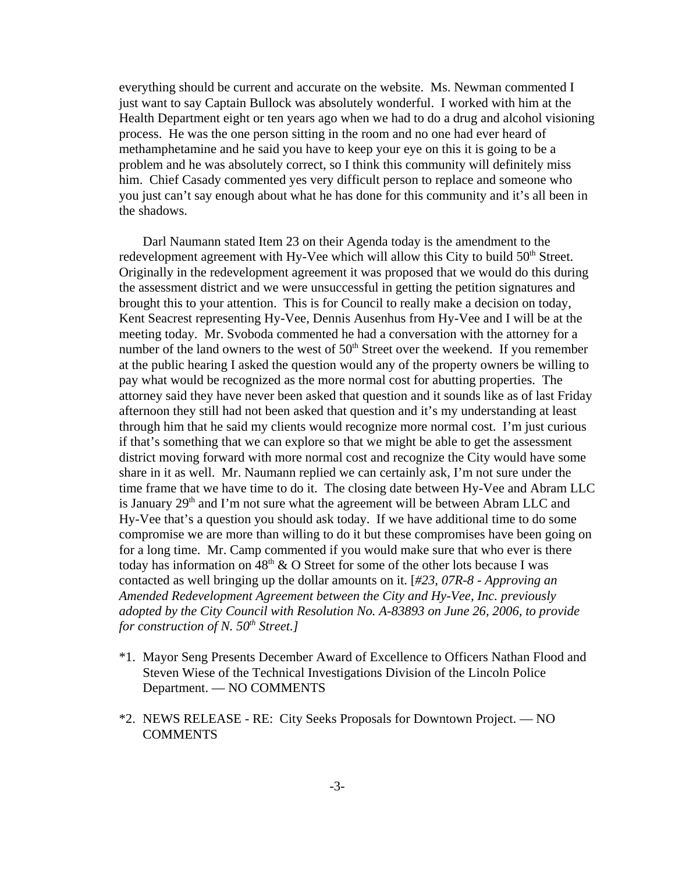everything should be current and accurate on the website. Ms. Newman commented I just want to say Captain Bullock was absolutely wonderful. I worked with him at the Health Department eight or ten years ago when we had to do a drug and alcohol visioning process. He was the one person sitting in the room and no one had ever heard of methamphetamine and he said you have to keep your eye on this it is going to be a problem and he was absolutely correct, so I think this community will definitely miss him. Chief Casady commented yes very difficult person to replace and someone who you just can't say enough about what he has done for this community and it's all been in the shadows.

Darl Naumann stated Item 23 on their Agenda today is the amendment to the redevelopment agreement with Hy-Vee which will allow this City to build  $50<sup>th</sup>$  Street. Originally in the redevelopment agreement it was proposed that we would do this during the assessment district and we were unsuccessful in getting the petition signatures and brought this to your attention. This is for Council to really make a decision on today, Kent Seacrest representing Hy-Vee, Dennis Ausenhus from Hy-Vee and I will be at the meeting today. Mr. Svoboda commented he had a conversation with the attorney for a number of the land owners to the west of  $50<sup>th</sup>$  Street over the weekend. If you remember at the public hearing I asked the question would any of the property owners be willing to pay what would be recognized as the more normal cost for abutting properties. The attorney said they have never been asked that question and it sounds like as of last Friday afternoon they still had not been asked that question and it's my understanding at least through him that he said my clients would recognize more normal cost. I'm just curious if that's something that we can explore so that we might be able to get the assessment district moving forward with more normal cost and recognize the City would have some share in it as well. Mr. Naumann replied we can certainly ask, I'm not sure under the time frame that we have time to do it. The closing date between Hy-Vee and Abram LLC is January  $29<sup>th</sup>$  and I'm not sure what the agreement will be between Abram LLC and Hy-Vee that's a question you should ask today. If we have additional time to do some compromise we are more than willing to do it but these compromises have been going on for a long time. Mr. Camp commented if you would make sure that who ever is there today has information on  $48<sup>th</sup>$  & O Street for some of the other lots because I was contacted as well bringing up the dollar amounts on it. [*#23, 07R-8 - Approving an Amended Redevelopment Agreement between the City and Hy-Vee, Inc. previously adopted by the City Council with Resolution No. A-83893 on June 26, 2006, to provide for construction of N. 50<sup>th</sup> Street.]* 

- \*1. Mayor Seng Presents December Award of Excellence to Officers Nathan Flood and Steven Wiese of the Technical Investigations Division of the Lincoln Police Department. — NO COMMENTS
- \*2. NEWS RELEASE RE: City Seeks Proposals for Downtown Project. NO COMMENTS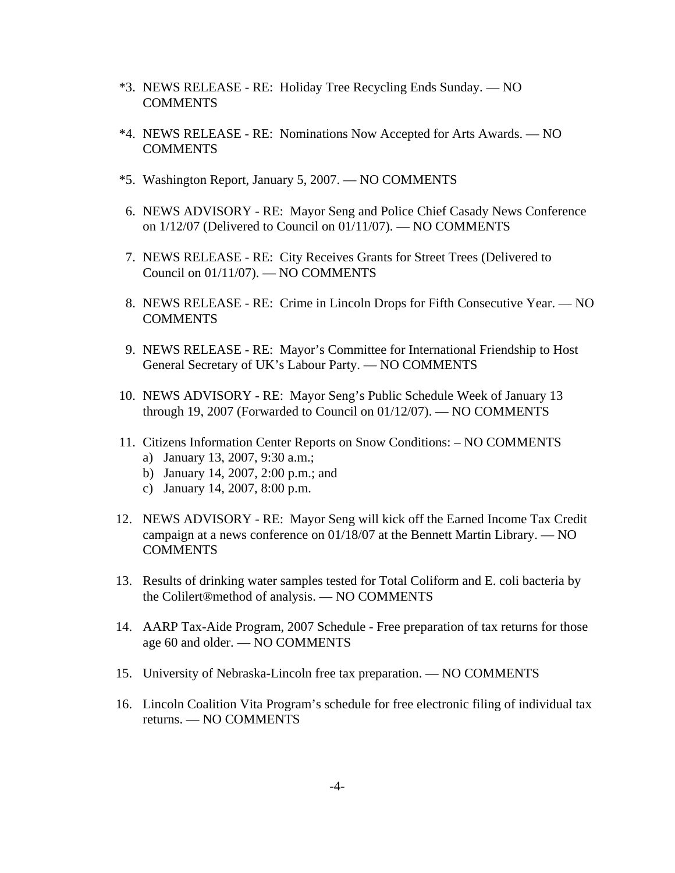- \*3. NEWS RELEASE RE: Holiday Tree Recycling Ends Sunday. NO **COMMENTS**
- \*4. NEWS RELEASE RE: Nominations Now Accepted for Arts Awards. NO **COMMENTS**
- \*5. Washington Report, January 5, 2007. NO COMMENTS
- 6. NEWS ADVISORY RE: Mayor Seng and Police Chief Casady News Conference on 1/12/07 (Delivered to Council on 01/11/07). — NO COMMENTS
- 7. NEWS RELEASE RE: City Receives Grants for Street Trees (Delivered to Council on 01/11/07). — NO COMMENTS
- 8. NEWS RELEASE RE: Crime in Lincoln Drops for Fifth Consecutive Year. NO **COMMENTS**
- 9. NEWS RELEASE RE: Mayor's Committee for International Friendship to Host General Secretary of UK's Labour Party. — NO COMMENTS
- 10. NEWS ADVISORY RE: Mayor Seng's Public Schedule Week of January 13 through 19, 2007 (Forwarded to Council on 01/12/07). — NO COMMENTS
- 11. Citizens Information Center Reports on Snow Conditions: NO COMMENTS
	- a) January 13, 2007, 9:30 a.m.;
	- b) January 14, 2007, 2:00 p.m.; and
	- c) January 14, 2007, 8:00 p.m.
- 12. NEWS ADVISORY RE: Mayor Seng will kick off the Earned Income Tax Credit campaign at a news conference on 01/18/07 at the Bennett Martin Library. — NO COMMENTS
- 13. Results of drinking water samples tested for Total Coliform and E. coli bacteria by the Colilert®method of analysis. — NO COMMENTS
- 14. AARP Tax-Aide Program, 2007 Schedule Free preparation of tax returns for those age 60 and older. — NO COMMENTS
- 15. University of Nebraska-Lincoln free tax preparation. NO COMMENTS
- 16. Lincoln Coalition Vita Program's schedule for free electronic filing of individual tax returns. — NO COMMENTS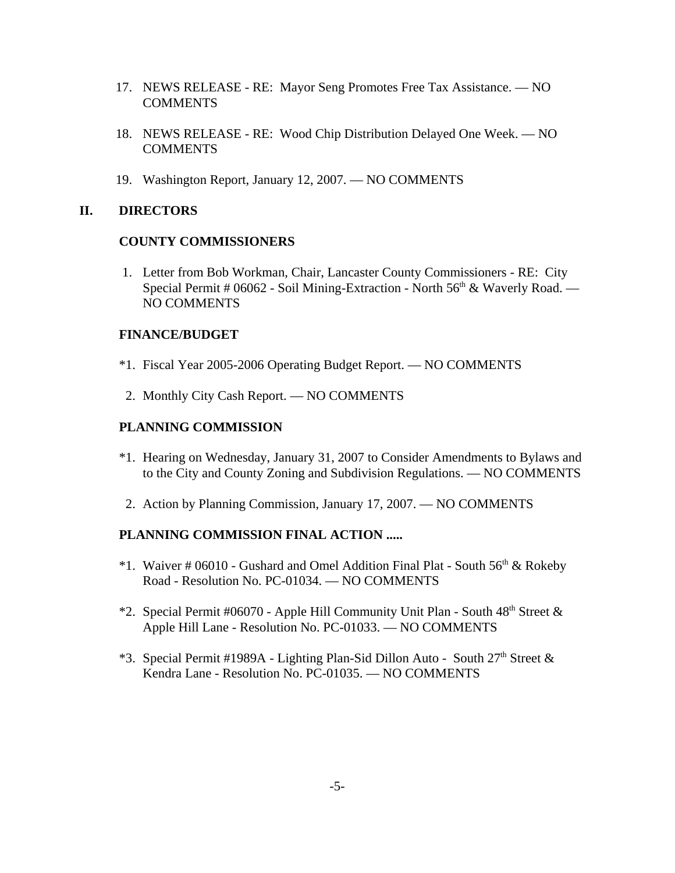- 17. NEWS RELEASE RE: Mayor Seng Promotes Free Tax Assistance. NO **COMMENTS**
- 18. NEWS RELEASE RE: Wood Chip Distribution Delayed One Week. NO **COMMENTS**
- 19. Washington Report, January 12, 2007. NO COMMENTS

### **II. DIRECTORS**

#### **COUNTY COMMISSIONERS**

 1. Letter from Bob Workman, Chair, Lancaster County Commissioners - RE: City Special Permit # 06062 - Soil Mining-Extraction - North 56<sup>th</sup> & Waverly Road. — NO COMMENTS

#### **FINANCE/BUDGET**

- \*1. Fiscal Year 2005-2006 Operating Budget Report. NO COMMENTS
- 2. Monthly City Cash Report. NO COMMENTS

### **PLANNING COMMISSION**

- \*1. Hearing on Wednesday, January 31, 2007 to Consider Amendments to Bylaws and to the City and County Zoning and Subdivision Regulations. — NO COMMENTS
- 2. Action by Planning Commission, January 17, 2007. NO COMMENTS

### **PLANNING COMMISSION FINAL ACTION .....**

- \*1. Waiver # 06010 Gushard and Omel Addition Final Plat South  $56<sup>th</sup>$  & Rokeby Road - Resolution No. PC-01034. — NO COMMENTS
- \*2. Special Permit #06070 Apple Hill Community Unit Plan South  $48<sup>th</sup>$  Street  $\&$ Apple Hill Lane - Resolution No. PC-01033. — NO COMMENTS
- \*3. Special Permit #1989A Lighting Plan-Sid Dillon Auto South 27<sup>th</sup> Street  $\&$ Kendra Lane - Resolution No. PC-01035. — NO COMMENTS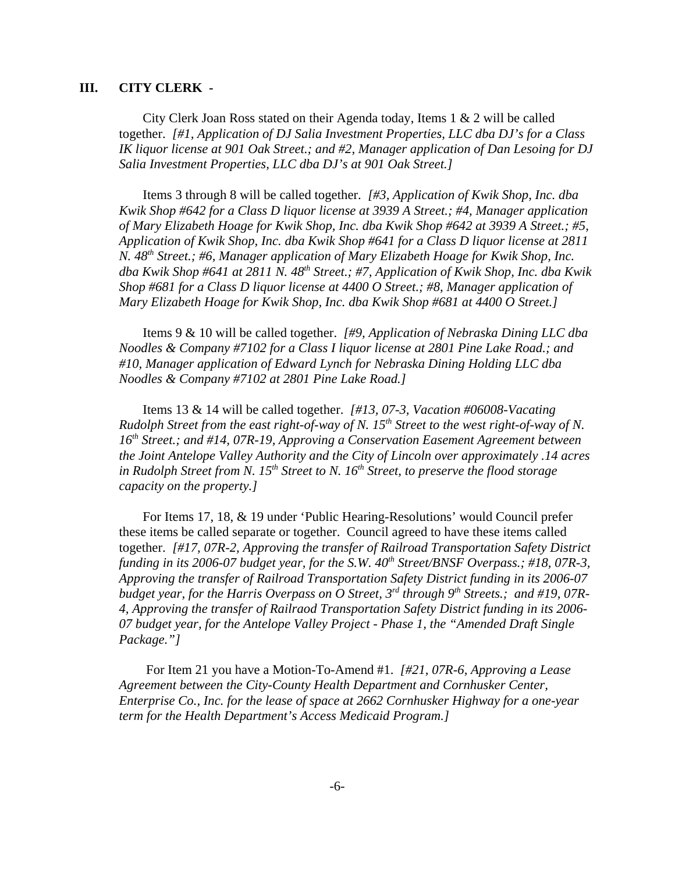#### **III. CITY CLERK -**

City Clerk Joan Ross stated on their Agenda today, Items 1 & 2 will be called together. *[#1, Application of DJ Salia Investment Properties, LLC dba DJ's for a Class IK liquor license at 901 Oak Street.; and #2, Manager application of Dan Lesoing for DJ Salia Investment Properties, LLC dba DJ's at 901 Oak Street.]* 

Items 3 through 8 will be called together. *[#3, Application of Kwik Shop, Inc. dba Kwik Shop #642 for a Class D liquor license at 3939 A Street.; #4, Manager application of Mary Elizabeth Hoage for Kwik Shop, Inc. dba Kwik Shop #642 at 3939 A Street.; #5, Application of Kwik Shop, Inc. dba Kwik Shop #641 for a Class D liquor license at 2811 N. 48th Street.; #6, Manager application of Mary Elizabeth Hoage for Kwik Shop, Inc. dba Kwik Shop #641 at 2811 N. 48th Street.; #7, Application of Kwik Shop, Inc. dba Kwik Shop #681 for a Class D liquor license at 4400 O Street.; #8, Manager application of Mary Elizabeth Hoage for Kwik Shop, Inc. dba Kwik Shop #681 at 4400 O Street.]* 

Items 9 & 10 will be called together. *[#9, Application of Nebraska Dining LLC dba Noodles & Company #7102 for a Class I liquor license at 2801 Pine Lake Road.; and #10, Manager application of Edward Lynch for Nebraska Dining Holding LLC dba Noodles & Company #7102 at 2801 Pine Lake Road.]*

Items 13 & 14 will be called together. *[#13, 07-3, Vacation #06008-Vacating Rudolph Street from the east right-of-way of N. 15th Street to the west right-of-way of N. 16th Street.; and #14, 07R-19, Approving a Conservation Easement Agreement between the Joint Antelope Valley Authority and the City of Lincoln over approximately .14 acres in Rudolph Street from N. 15th Street to N. 16th Street, to preserve the flood storage capacity on the property.]* 

For Items 17, 18, & 19 under 'Public Hearing-Resolutions' would Council prefer these items be called separate or together. Council agreed to have these items called together. *[#17, 07R-2, Approving the transfer of Railroad Transportation Safety District funding in its 2006-07 budget year, for the S.W. 40<sup>th</sup> Street/BNSF Overpass.; #18, 07R-3, Approving the transfer of Railroad Transportation Safety District funding in its 2006-07* budget year, for the Harris Overpass on O Street, 3<sup>rd</sup> through 9<sup>th</sup> Streets.; and #19, 07R-*4, Approving the transfer of Railraod Transportation Safety District funding in its 2006- 07 budget year, for the Antelope Valley Project - Phase 1, the "Amended Draft Single Package."]* 

 For Item 21 you have a Motion-To-Amend #1. *[#21, 07R-6, Approving a Lease Agreement between the City-County Health Department and Cornhusker Center, Enterprise Co., Inc. for the lease of space at 2662 Cornhusker Highway for a one-year term for the Health Department's Access Medicaid Program.]*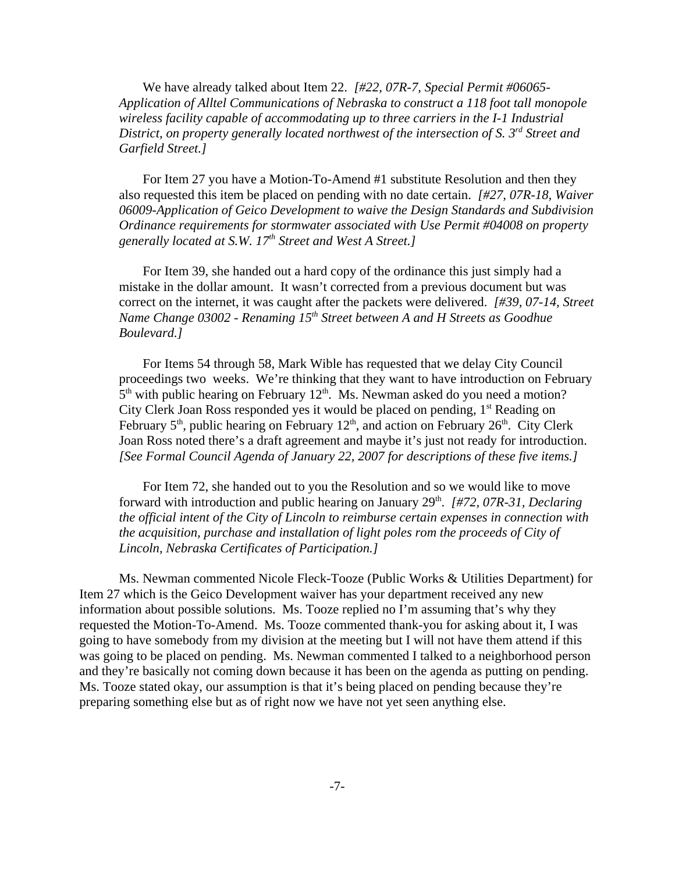We have already talked about Item 22. *[#22, 07R-7, Special Permit #06065- Application of Alltel Communications of Nebraska to construct a 118 foot tall monopole wireless facility capable of accommodating up to three carriers in the I-1 Industrial District, on property generally located northwest of the intersection of S. 3<sup>rd</sup> Street and Garfield Street.]*

For Item 27 you have a Motion-To-Amend #1 substitute Resolution and then they also requested this item be placed on pending with no date certain. *[#27, 07R-18, Waiver 06009-Application of Geico Development to waive the Design Standards and Subdivision Ordinance requirements for stormwater associated with Use Permit #04008 on property generally located at S.W. 17th Street and West A Street.]* 

For Item 39, she handed out a hard copy of the ordinance this just simply had a mistake in the dollar amount. It wasn't corrected from a previous document but was correct on the internet, it was caught after the packets were delivered. *[#39, 07-14, Street Name Change 03002 - Renaming 15th Street between A and H Streets as Goodhue Boulevard.]* 

For Items 54 through 58, Mark Wible has requested that we delay City Council proceedings two weeks. We're thinking that they want to have introduction on February  $5<sup>th</sup>$  with public hearing on February 12<sup>th</sup>. Ms. Newman asked do you need a motion? City Clerk Joan Ross responded yes it would be placed on pending, 1<sup>st</sup> Reading on February  $5<sup>th</sup>$ , public hearing on February  $12<sup>th</sup>$ , and action on February  $26<sup>th</sup>$ . City Clerk Joan Ross noted there's a draft agreement and maybe it's just not ready for introduction. *[See Formal Council Agenda of January 22, 2007 for descriptions of these five items.]* 

For Item 72, she handed out to you the Resolution and so we would like to move forward with introduction and public hearing on January 29<sup>th</sup>. *[#72, 07R-31, Declaring*] *the official intent of the City of Lincoln to reimburse certain expenses in connection with the acquisition, purchase and installation of light poles rom the proceeds of City of Lincoln, Nebraska Certificates of Participation.]* 

Ms. Newman commented Nicole Fleck-Tooze (Public Works & Utilities Department) for Item 27 which is the Geico Development waiver has your department received any new information about possible solutions. Ms. Tooze replied no I'm assuming that's why they requested the Motion-To-Amend. Ms. Tooze commented thank-you for asking about it, I was going to have somebody from my division at the meeting but I will not have them attend if this was going to be placed on pending. Ms. Newman commented I talked to a neighborhood person and they're basically not coming down because it has been on the agenda as putting on pending. Ms. Tooze stated okay, our assumption is that it's being placed on pending because they're preparing something else but as of right now we have not yet seen anything else.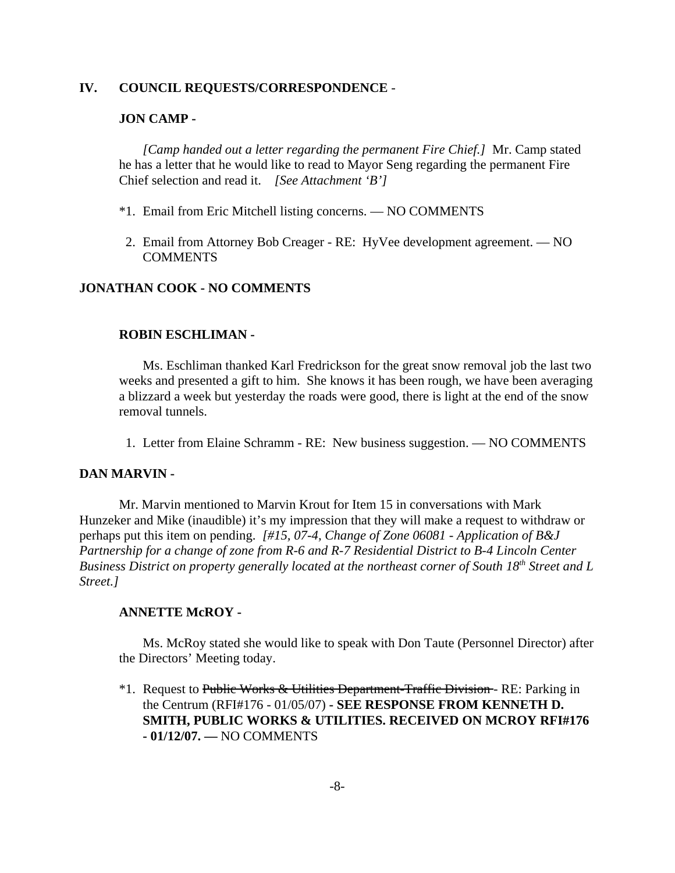### **IV. COUNCIL REQUESTS/CORRESPONDENCE** -

### **JON CAMP -**

*[Camp handed out a letter regarding the permanent Fire Chief.]* Mr. Camp stated he has a letter that he would like to read to Mayor Seng regarding the permanent Fire Chief selection and read it. *[See Attachment 'B']* 

- \*1. Email from Eric Mitchell listing concerns. NO COMMENTS
- 2. Email from Attorney Bob Creager RE: HyVee development agreement. NO **COMMENTS**

### **JONATHAN COOK - NO COMMENTS**

#### **ROBIN ESCHLIMAN -**

Ms. Eschliman thanked Karl Fredrickson for the great snow removal job the last two weeks and presented a gift to him. She knows it has been rough, we have been averaging a blizzard a week but yesterday the roads were good, there is light at the end of the snow removal tunnels.

1. Letter from Elaine Schramm - RE: New business suggestion. — NO COMMENTS

#### **DAN MARVIN -**

Mr. Marvin mentioned to Marvin Krout for Item 15 in conversations with Mark Hunzeker and Mike (inaudible) it's my impression that they will make a request to withdraw or perhaps put this item on pending. *[#15, 07-4, Change of Zone 06081 - Application of B&J Partnership for a change of zone from R-6 and R-7 Residential District to B-4 Lincoln Center Business District on property generally located at the northeast corner of South 18th Street and L Street.]* 

#### **ANNETTE McROY -**

Ms. McRoy stated she would like to speak with Don Taute (Personnel Director) after the Directors' Meeting today.

<sup>\*</sup>1. Request to Public Works & Utilities Department-Traffic Division - RE: Parking in the Centrum (RFI#176 - 01/05/07) **- SEE RESPONSE FROM KENNETH D. SMITH, PUBLIC WORKS & UTILITIES. RECEIVED ON MCROY RFI#176 - 01/12/07. —** NO COMMENTS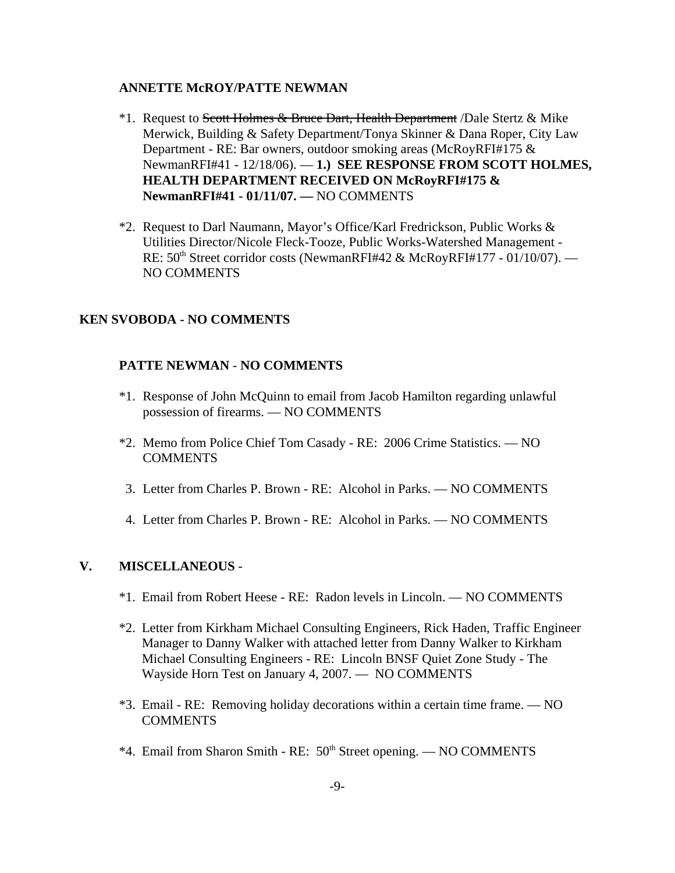#### **ANNETTE McROY/PATTE NEWMAN**

- <sup>\*</sup>1. Request to Scott Holmes & Bruce Dart, Health Department */Dale Stertz & Mike* Merwick, Building & Safety Department/Tonya Skinner & Dana Roper, City Law Department - RE: Bar owners, outdoor smoking areas (McRoyRFI#175 & NewmanRFI#41 - 12/18/06). — **1.) SEE RESPONSE FROM SCOTT HOLMES, HEALTH DEPARTMENT RECEIVED ON McRoyRFI#175 & NewmanRFI#41 - 01/11/07. —** NO COMMENTS
- \*2. Request to Darl Naumann, Mayor's Office/Karl Fredrickson, Public Works & Utilities Director/Nicole Fleck-Tooze, Public Works-Watershed Management - RE:  $50<sup>th</sup> Street corridor costs (NewmanRFI#42 & McRoyRFI#177 - 01/10/07).$  — NO COMMENTS

### **KEN SVOBODA - NO COMMENTS**

### **PATTE NEWMAN** - **NO COMMENTS**

- \*1. Response of John McQuinn to email from Jacob Hamilton regarding unlawful possession of firearms. — NO COMMENTS
- \*2. Memo from Police Chief Tom Casady RE: 2006 Crime Statistics. NO COMMENTS
- 3. Letter from Charles P. Brown RE: Alcohol in Parks. NO COMMENTS
- 4. Letter from Charles P. Brown RE: Alcohol in Parks. NO COMMENTS

### **V. MISCELLANEOUS** -

- \*1. Email from Robert Heese RE: Radon levels in Lincoln. NO COMMENTS
- \*2. Letter from Kirkham Michael Consulting Engineers, Rick Haden, Traffic Engineer Manager to Danny Walker with attached letter from Danny Walker to Kirkham Michael Consulting Engineers - RE: Lincoln BNSF Quiet Zone Study - The Wayside Horn Test on January 4, 2007. — NO COMMENTS
- \*3. Email RE: Removing holiday decorations within a certain time frame. NO COMMENTS
- \*4. Email from Sharon Smith RE:  $50<sup>th</sup>$  Street opening. NO COMMENTS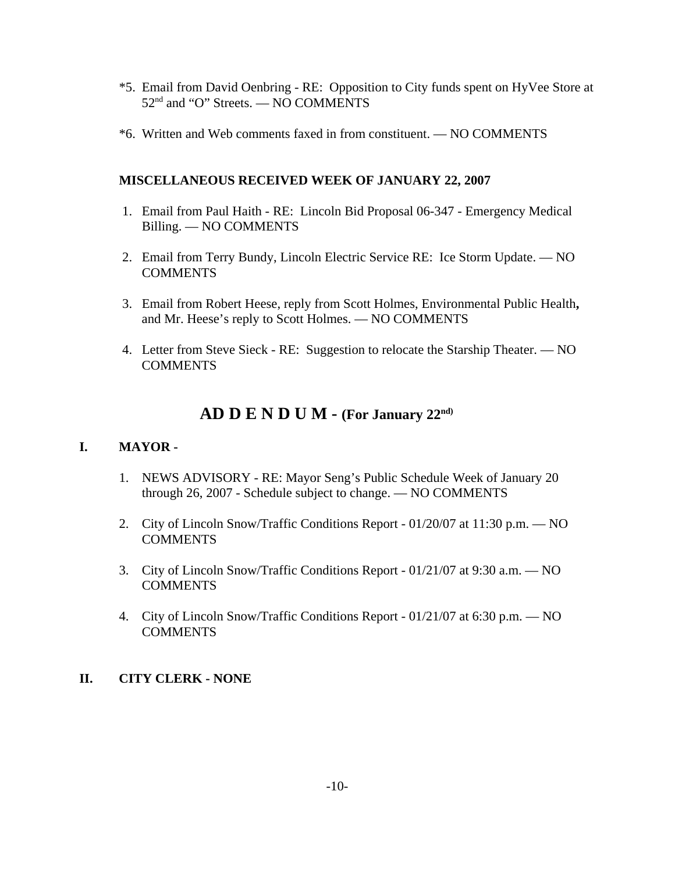- \*5. Email from David Oenbring RE: Opposition to City funds spent on HyVee Store at  $52<sup>nd</sup>$  and "O" Streets. — NO COMMENTS
- \*6. Written and Web comments faxed in from constituent. NO COMMENTS

### **MISCELLANEOUS RECEIVED WEEK OF JANUARY 22, 2007**

- 1. Email from Paul Haith RE: Lincoln Bid Proposal 06-347 Emergency Medical Billing. — NO COMMENTS
- 2. Email from Terry Bundy, Lincoln Electric Service RE: Ice Storm Update. NO **COMMENTS**
- 3. Email from Robert Heese, reply from Scott Holmes, Environmental Public Health**,** and Mr. Heese's reply to Scott Holmes. — NO COMMENTS
- 4. Letter from Steve Sieck RE: Suggestion to relocate the Starship Theater. NO **COMMENTS**

# **AD D E N D U M - (For January 22nd)**

### **I. MAYOR -**

- 1. NEWS ADVISORY RE: Mayor Seng's Public Schedule Week of January 20 through 26, 2007 - Schedule subject to change. — NO COMMENTS
- 2. City of Lincoln Snow/Traffic Conditions Report 01/20/07 at 11:30 p.m. NO **COMMENTS**
- 3. City of Lincoln Snow/Traffic Conditions Report 01/21/07 at 9:30 a.m. NO **COMMENTS**
- 4. City of Lincoln Snow/Traffic Conditions Report 01/21/07 at 6:30 p.m. NO **COMMENTS**

# **II. CITY CLERK - NONE**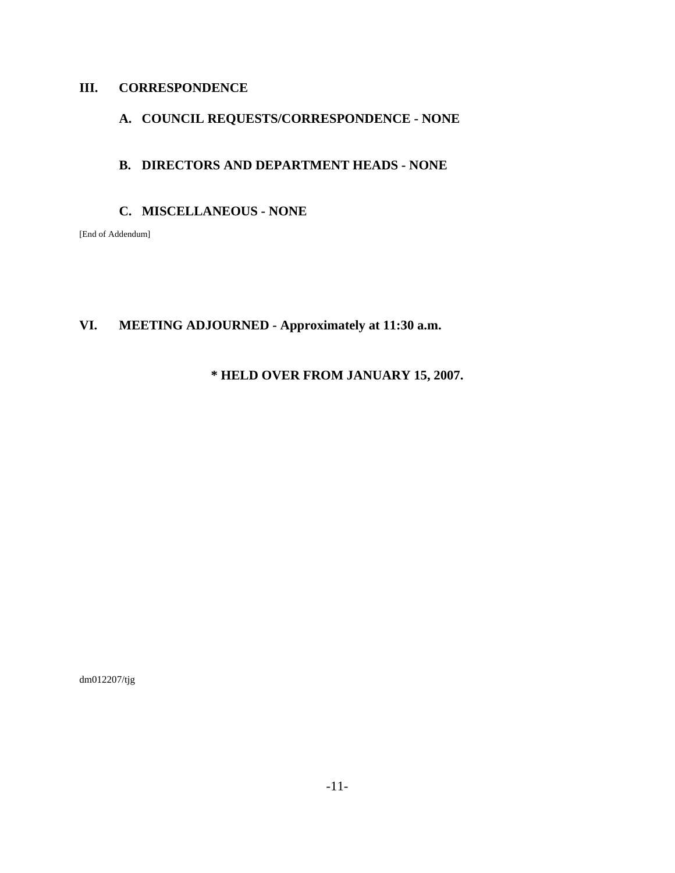# **III. CORRESPONDENCE**

# **A. COUNCIL REQUESTS/CORRESPONDENCE - NONE**

### **B. DIRECTORS AND DEPARTMENT HEADS - NONE**

#### **C. MISCELLANEOUS - NONE**

[End of Addendum]

# **VI. MEETING ADJOURNED - Approximately at 11:30 a.m.**

### **\* HELD OVER FROM JANUARY 15, 2007.**

dm012207/tjg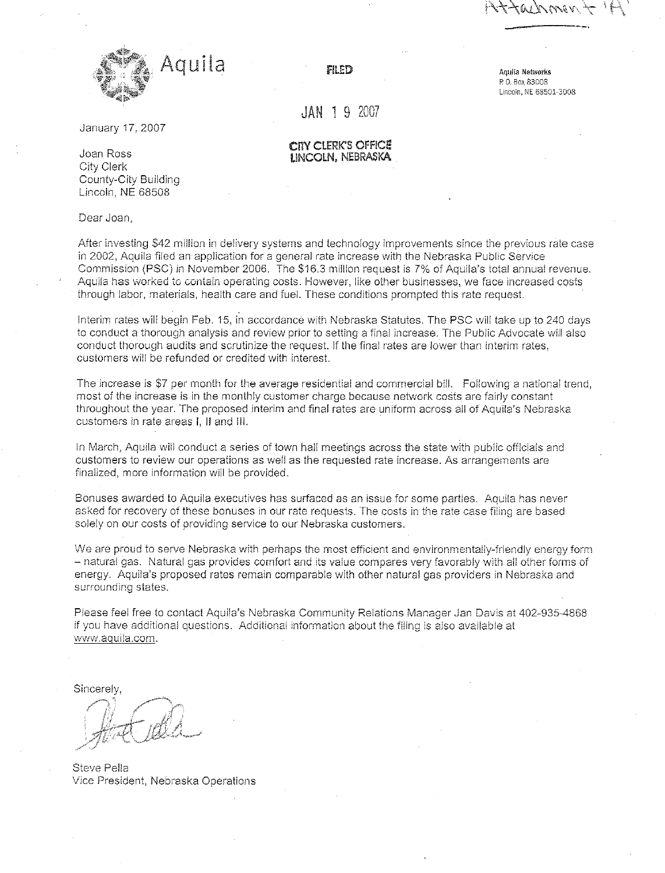

FILED

Aquila Networks P.O. Box 83008 Lincoln, NE 68501-3008

 $JAN$  1 9 2007

CITY CLERK'S OFFICE

LINCOLN, NEBRASKA

January 17, 2007

Joan Ross City Clerk County-City Building Lincoln, NE 68508

Dear Joan.

After investing \$42 million in delivery systems and technology improvements since the previous rate case in 2002, Aquila filed an application for a general rate increase with the Nebraska Public Service Commission (PSC) in November 2006. The \$16.3 million request is 7% of Aquila's total annual revenue. Aquila has worked to contain operating costs. However, like other businesses, we face increased costs through labor, materials, health care and fuel. These conditions prompted this rate request.

Interim rates will begin Feb. 15, in accordance with Nebraska Statutes. The PSC will take up to 240 days to conduct a thorough analysis and review prior to setting a final increase. The Public Advocate will also conduct thorough audits and scrutinize the request. If the final rates are lower than interim rates, customers will be refunded or credited with interest.

The increase is \$7 per month for the average residential and commercial bill. Following a national trend, most of the increase is in the monthly customer charge because network costs are fairly constant throughout the year. The proposed interim and final rates are uniform across all of Aquila's Nebraska customers in rate areas I. II and III.

In March, Aquila will conduct a series of town hall meetings across the state with public officials and customers to review our operations as well as the requested rate increase. As arrangements are finalized, more information will be provided.

Bonuses awarded to Aquila executives has surfaced as an issue for some parties. Aquila has never asked for recovery of these bonuses in our rate requests. The costs in the rate case filing are based solely on our costs of providing service to our Nebraska customers.

We are proud to serve Nebraska with perhaps the most efficient and environmentally-friendly energy form - natural gas. Natural gas provides comfort and its value compares very favorably with all other forms of energy. Aquila's proposed rates remain comparable with other natural gas providers in Nebraska and surrounding states,

Please feel free to contact Aquila's Nebraska Community Relations Manager Jan Davis at 402-935-4868 if you have additional questions. Additional information about the filing is also available at www.aquila.com.

Sincerely.

Steve Pella Vice President, Nebraska Operations